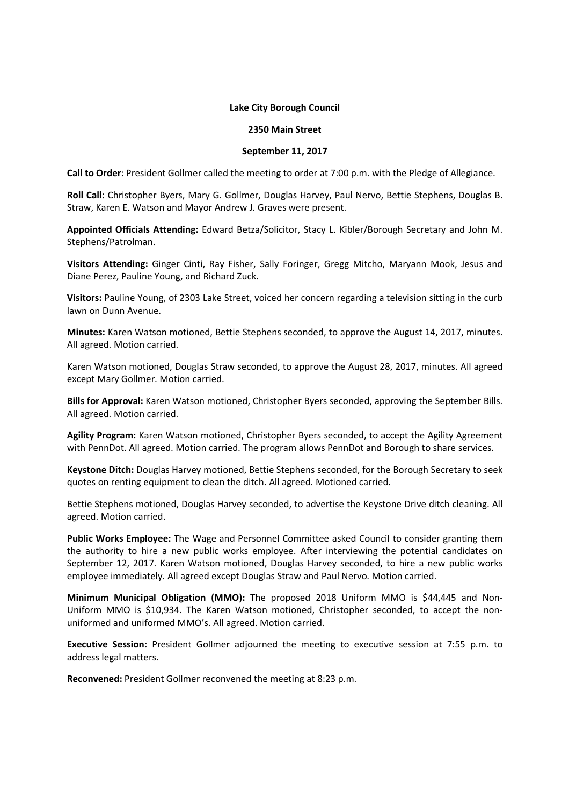## **Lake City Borough Council**

## **2350 Main Street**

## **September 11, 2017**

**Call to Order**: President Gollmer called the meeting to order at 7:00 p.m. with the Pledge of Allegiance.

**Roll Call:** Christopher Byers, Mary G. Gollmer, Douglas Harvey, Paul Nervo, Bettie Stephens, Douglas B. Straw, Karen E. Watson and Mayor Andrew J. Graves were present.

**Appointed Officials Attending:** Edward Betza/Solicitor, Stacy L. Kibler/Borough Secretary and John M. Stephens/Patrolman.

**Visitors Attending:** Ginger Cinti, Ray Fisher, Sally Foringer, Gregg Mitcho, Maryann Mook, Jesus and Diane Perez, Pauline Young, and Richard Zuck.

**Visitors:** Pauline Young, of 2303 Lake Street, voiced her concern regarding a television sitting in the curb lawn on Dunn Avenue.

**Minutes:** Karen Watson motioned, Bettie Stephens seconded, to approve the August 14, 2017, minutes. All agreed. Motion carried.

Karen Watson motioned, Douglas Straw seconded, to approve the August 28, 2017, minutes. All agreed except Mary Gollmer. Motion carried.

**Bills for Approval:** Karen Watson motioned, Christopher Byers seconded, approving the September Bills. All agreed. Motion carried.

**Agility Program:** Karen Watson motioned, Christopher Byers seconded, to accept the Agility Agreement with PennDot. All agreed. Motion carried. The program allows PennDot and Borough to share services.

**Keystone Ditch:** Douglas Harvey motioned, Bettie Stephens seconded, for the Borough Secretary to seek quotes on renting equipment to clean the ditch. All agreed. Motioned carried.

Bettie Stephens motioned, Douglas Harvey seconded, to advertise the Keystone Drive ditch cleaning. All agreed. Motion carried.

**Public Works Employee:** The Wage and Personnel Committee asked Council to consider granting them the authority to hire a new public works employee. After interviewing the potential candidates on September 12, 2017. Karen Watson motioned, Douglas Harvey seconded, to hire a new public works employee immediately. All agreed except Douglas Straw and Paul Nervo. Motion carried.

**Minimum Municipal Obligation (MMO):** The proposed 2018 Uniform MMO is \$44,445 and Non-Uniform MMO is \$10,934. The Karen Watson motioned, Christopher seconded, to accept the nonuniformed and uniformed MMO's. All agreed. Motion carried.

**Executive Session:** President Gollmer adjourned the meeting to executive session at 7:55 p.m. to address legal matters.

**Reconvened:** President Gollmer reconvened the meeting at 8:23 p.m.